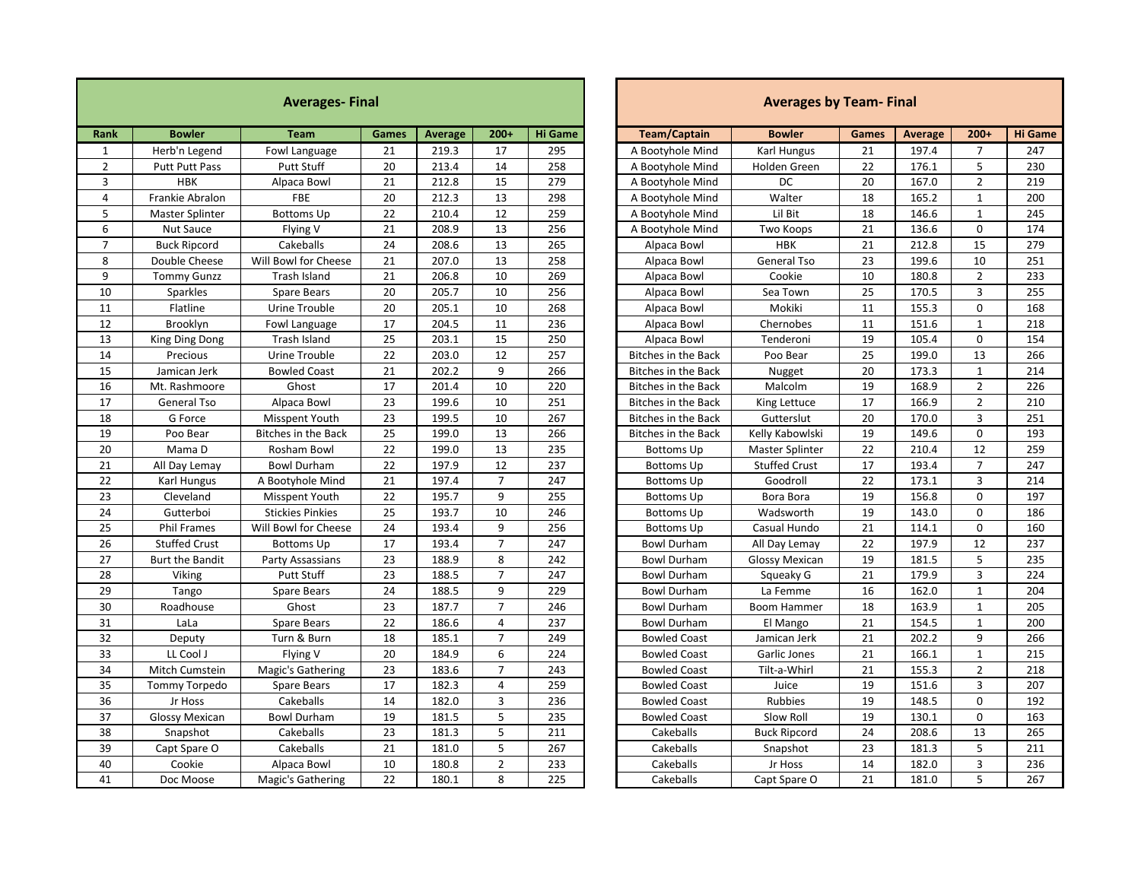| <b>Averages-Final</b> |                        |                            |                 |         |                |                | <b>Averages by Team-Final</b>       |                        |                 |             |                |                |  |
|-----------------------|------------------------|----------------------------|-----------------|---------|----------------|----------------|-------------------------------------|------------------------|-----------------|-------------|----------------|----------------|--|
| Rank                  | <b>Bowler</b>          | <b>Team</b>                | Games           | Average | $200+$         | <b>Hi Game</b> | <b>Team/Captain</b>                 | <b>Bowler</b>          | <b>Games</b>    | Average     | $200+$         | <b>Hi Game</b> |  |
| 1                     | Herb'n Legend          | Fowl Language              | 21              | 219.3   | 17             | 295            | A Bootyhole Mind                    | Karl Hungus            | 21              | 197.4       | $\overline{7}$ | 247            |  |
| $\overline{2}$        | Putt Putt Pass         | <b>Putt Stuff</b>          | 20              | 213.4   | 14             | 258            | A Bootyhole Mind                    | Holden Green           | 22              | 176.1       | 5              | 230            |  |
| $\overline{3}$        | <b>HBK</b>             | Alpaca Bowl                | 21              | 212.8   | 15             | 279            | A Bootyhole Mind                    | <b>DC</b>              | 20              | 167.0       | $\overline{2}$ | 219            |  |
| $\overline{4}$        | Frankie Abralon        | FBE                        | 20              | 212.3   | 13             | 298            | A Bootyhole Mind                    | Walter                 | 18              | 165.2       | $\mathbf{1}$   | 200            |  |
| 5                     | Master Splinter        | <b>Bottoms Up</b>          | 22              | 210.4   | 12             | 259            | A Bootyhole Mind                    | Lil Bit                | 18              | 146.6       | $\mathbf{1}$   | 245            |  |
| 6                     | Nut Sauce              | Flying V                   | 21              | 208.9   | 13             | 256            | 21<br>A Bootyhole Mind<br>Two Koops |                        | 136.6           | $\mathbf 0$ | 174            |                |  |
| $\overline{7}$        | <b>Buck Ripcord</b>    | Cakeballs                  | 24              | 208.6   | 13             | 265            | <b>HBK</b><br>Alpaca Bowl           |                        | 21              | 212.8       | 15             | 279            |  |
| 8                     | Double Cheese          | Will Bowl for Cheese       | 21              | 207.0   | 13             | 258            | Alpaca Bowl                         | <b>General Tso</b>     | 23              | 199.6       | 10             | 251            |  |
| 9                     | <b>Tommy Gunzz</b>     | Trash Island               | 21              | 206.8   | 10             | 269            | Alpaca Bowl                         | Cookie                 | 10              | 180.8       | $\overline{2}$ | 233            |  |
| 10                    | Sparkles               | Spare Bears                | 20              | 205.7   | 10             | 256            | Alpaca Bowl                         | Sea Town               | 25              | 170.5       | $\overline{3}$ | 255            |  |
| 11                    | Flatline               | Urine Trouble              | 20              | 205.1   | 10             | 268            | Alpaca Bowl                         | Mokiki                 | 11              | 155.3       | 0              | 168            |  |
| 12                    | Brooklyn               | Fowl Language              | 17              | 204.5   | 11             | 236            | Alpaca Bowl                         | Chernobes              | 11              | 151.6       | $\mathbf{1}$   | 218            |  |
| 13                    | King Ding Dong         | Trash Island               | 25              | 203.1   | 15             | 250            | Alpaca Bowl                         | Tenderoni              | 19              | 105.4       | $\mathbf 0$    | 154            |  |
| 14                    | Precious               | Urine Trouble              | 22              | 203.0   | 12             | 257            | Bitches in the Back                 | Poo Bear               | 25              | 199.0       | 13             | 266            |  |
| 15                    | Jamican Jerk           | <b>Bowled Coast</b>        | 21              | 202.2   | 9              | 266            | <b>Bitches in the Back</b>          | Nugget                 | 20              | 173.3       | $\mathbf{1}$   | 214            |  |
| 16                    | Mt. Rashmoore          | Ghost                      | 17              | 201.4   | 10             | 220            | Bitches in the Back                 | Malcolm                | 19              | 168.9       | $\overline{2}$ | 226            |  |
| 17                    | General Tso            | Alpaca Bowl                | 23              | 199.6   | 10             | 251            | <b>Bitches in the Back</b>          | King Lettuce           | 17              | 166.9       | $\overline{2}$ | 210            |  |
| 18                    | G Force                | Misspent Youth             | 23              | 199.5   | 10             | 267            | <b>Bitches in the Back</b>          | Gutterslut             | 20              | 170.0       | $\overline{3}$ | 251            |  |
| 19                    | Poo Bear               | <b>Bitches in the Back</b> | 25              | 199.0   | 13             | 266            | Bitches in the Back                 | Kelly Kabowlski        | 19              | 149.6       | 0              | 193            |  |
| 20                    | Mama D                 | Rosham Bowl                | 22              | 199.0   | 13             | 235            | <b>Bottoms Up</b>                   | <b>Master Splinter</b> | 22              | 210.4       | 12             | 259            |  |
| 21                    | All Day Lemay          | <b>Bowl Durham</b>         | 22              | 197.9   | 12             | 237            | <b>Bottoms Up</b>                   | <b>Stuffed Crust</b>   | $\overline{17}$ | 193.4       | $\overline{7}$ | 247            |  |
| 22                    | Karl Hungus            | A Bootyhole Mind           | 21              | 197.4   | $\overline{7}$ | 247            | <b>Bottoms Up</b>                   | Goodroll               | 22              | 173.1       | $\overline{3}$ | 214            |  |
| 23                    | Cleveland              | Misspent Youth             | 22              | 195.7   | 9              | 255            | <b>Bottoms Up</b>                   | Bora Bora              | 19              | 156.8       | $\mathbf{0}$   | 197            |  |
| 24                    | Gutterboi              | <b>Stickies Pinkies</b>    | 25              | 193.7   | 10             | 246            | <b>Bottoms Up</b>                   | Wadsworth              | 19              | 143.0       | $\Omega$       | 186            |  |
| 25                    | <b>Phil Frames</b>     | Will Bowl for Cheese       | 24              | 193.4   | 9              | 256            | <b>Bottoms Up</b>                   | Casual Hundo           | 21              | 114.1       | 0              | 160            |  |
| 26                    | <b>Stuffed Crust</b>   | <b>Bottoms Up</b>          | 17              | 193.4   | $\overline{7}$ | 247            | <b>Bowl Durham</b>                  | All Day Lemay          | 22              | 197.9       | 12             | 237            |  |
| 27                    | <b>Burt the Bandit</b> | Party Assassians           | 23              | 188.9   | 8              | 242            | <b>Bowl Durham</b>                  | <b>Glossy Mexican</b>  | 19              | 181.5       | 5              | 235            |  |
| $\overline{28}$       | Viking                 | <b>Putt Stuff</b>          | $\overline{23}$ | 188.5   | $\overline{7}$ | 247            | <b>Bowl Durham</b>                  | Squeaky G              | 21              | 179.9       | 3              | 224            |  |
| 29                    | Tango                  | <b>Spare Bears</b>         | 24              | 188.5   | 9              | 229            | <b>Bowl Durham</b>                  | La Femme               | 16              | 162.0       | $\mathbf{1}$   | 204            |  |
| 30                    | Roadhouse              | Ghost                      | 23              | 187.7   | $\overline{7}$ | 246            | <b>Bowl Durham</b>                  | <b>Boom Hammer</b>     | 18              | 163.9       | $\mathbf{1}$   | 205            |  |
| 31                    | LaLa                   | Spare Bears                | 22              | 186.6   | 4              | 237            | <b>Bowl Durham</b>                  | El Mango               | 21              | 154.5       | $\mathbf{1}$   | 200            |  |
| 32                    | Deputy                 | Turn & Burn                | 18              | 185.1   | $\overline{7}$ | 249            | <b>Bowled Coast</b>                 | Jamican Jerk           | 21              | 202.2       | 9              | 266            |  |
| 33                    | LL Cool J              | Flying V                   | 20              | 184.9   | 6              | 224            | <b>Bowled Coast</b>                 | Garlic Jones           | 21              | 166.1       | $\mathbf{1}$   | 215            |  |
| 34                    | Mitch Cumstein         | Magic's Gathering          | 23              | 183.6   | $\overline{7}$ | 243            | <b>Bowled Coast</b>                 | Tilt-a-Whirl           | 21              | 155.3       | $\overline{2}$ | 218            |  |
| 35                    | Tommy Torpedo          | <b>Spare Bears</b>         | 17              | 182.3   | $\overline{4}$ | 259            | <b>Bowled Coast</b>                 | Juice                  | 19              | 151.6       | 3              | 207            |  |
| 36                    | Jr Hoss                | Cakeballs                  | 14              | 182.0   | 3              | 236            | <b>Bowled Coast</b>                 | Rubbies                | 19              | 148.5       | 0              | 192            |  |
| 37                    | <b>Glossy Mexican</b>  | <b>Bowl Durham</b>         | 19              | 181.5   | 5              | 235            | <b>Bowled Coast</b>                 | Slow Roll              | 19              | 130.1       | $\Omega$       | 163            |  |
| 38                    | Snapshot               | Cakeballs                  | 23              | 181.3   | 5              | 211            | Cakeballs                           | <b>Buck Ripcord</b>    | 24              | 208.6       | 13             | 265            |  |
| 39                    | Capt Spare O           | Cakeballs                  | 21              | 181.0   | 5              | 267            | Cakeballs                           | Snapshot               | 23              | 181.3       | 5              | 211            |  |
| 40                    | Cookie                 | Alpaca Bowl                | 10              | 180.8   | $\overline{2}$ | 233            | Cakeballs                           | Jr Hoss                | 14              | 182.0       | 3              | 236            |  |
| 41                    | Doc Moose              | Magic's Gathering          | 22              | 180.1   | 8              | 225            | Cakeballs                           | Capt Spare O           | 21              | 181.0       | 5              | 267            |  |

| <b>Averages by Team-Final</b> |                       |              |                |                |                |  |  |  |  |  |  |
|-------------------------------|-----------------------|--------------|----------------|----------------|----------------|--|--|--|--|--|--|
| <b>Team/Captain</b>           | <b>Bowler</b>         | <b>Games</b> | <b>Average</b> | $200+$         | <b>Hi Game</b> |  |  |  |  |  |  |
| A Bootyhole Mind              | Karl Hungus           | 21           | 197.4          | $\overline{7}$ | 247            |  |  |  |  |  |  |
| A Bootyhole Mind              | Holden Green          | 22           | 176.1          | 5              | 230            |  |  |  |  |  |  |
| A Bootyhole Mind              | DC                    | 20           | 167.0          | $\overline{2}$ | 219            |  |  |  |  |  |  |
| A Bootyhole Mind              | Walter                | 18           | 165.2          | $\mathbf{1}$   | 200            |  |  |  |  |  |  |
| A Bootyhole Mind              | Lil Bit               | 18           | 146.6          | 1              | 245            |  |  |  |  |  |  |
| A Bootyhole Mind              | Two Koops             | 21           | 136.6          | 0              | 174            |  |  |  |  |  |  |
| Alpaca Bowl                   | <b>HBK</b>            | 21           | 212.8          | 15             | 279            |  |  |  |  |  |  |
| Alpaca Bowl                   | General Tso           | 23           | 199.6          | 10             | 251            |  |  |  |  |  |  |
| Alpaca Bowl                   | Cookie                | 10           | 180.8          | $\overline{2}$ | 233            |  |  |  |  |  |  |
| Alpaca Bowl                   | Sea Town              | 25           | 170.5          | 3              | 255            |  |  |  |  |  |  |
| Alpaca Bowl                   | Mokiki                | 11           | 155.3          | 0              | 168            |  |  |  |  |  |  |
| Alpaca Bowl                   | Chernobes             | 11           | 151.6          | $\mathbf{1}$   | 218            |  |  |  |  |  |  |
| Alpaca Bowl                   | Tenderoni             | 19           | 105.4          | 0              | 154            |  |  |  |  |  |  |
| <b>Bitches in the Back</b>    | Poo Bear              | 25           | 199.0          | 13             | 266            |  |  |  |  |  |  |
| <b>Bitches in the Back</b>    | Nugget                | 20           | 173.3          | $\mathbf{1}$   | 214            |  |  |  |  |  |  |
| <b>Bitches in the Back</b>    | Malcolm               | 19           | 168.9          | $\overline{2}$ | 226            |  |  |  |  |  |  |
| <b>Bitches in the Back</b>    | King Lettuce          | 17           | 166.9          | 2              | 210            |  |  |  |  |  |  |
| <b>Bitches in the Back</b>    | Gutterslut            | 20           | 170.0          | 3              | 251            |  |  |  |  |  |  |
| <b>Bitches in the Back</b>    | Kelly Kabowlski       | 19           | 149.6          | 0              | 193            |  |  |  |  |  |  |
| <b>Bottoms Up</b>             | Master Splinter       | 22           | 210.4          | 12             | 259            |  |  |  |  |  |  |
| <b>Bottoms Up</b>             | <b>Stuffed Crust</b>  | 17           | 193.4          | 7              | 247            |  |  |  |  |  |  |
| <b>Bottoms Up</b>             | Goodroll              | 22           | 173.1          | 3              | 214            |  |  |  |  |  |  |
| <b>Bottoms Up</b>             | Bora Bora             | 19           | 156.8          | 0              | 197            |  |  |  |  |  |  |
| <b>Bottoms Up</b>             | Wadsworth             | 19           | 143.0          | 0              | 186            |  |  |  |  |  |  |
| <b>Bottoms Up</b>             | Casual Hundo          | 21           | 114.1          | 0              | 160            |  |  |  |  |  |  |
| <b>Bowl Durham</b>            | All Day Lemay         | 22           | 197.9          | 12             | 237            |  |  |  |  |  |  |
| <b>Bowl Durham</b>            | <b>Glossy Mexican</b> | 19           | 181.5          | 5              | 235            |  |  |  |  |  |  |
| <b>Bowl Durham</b>            | Squeaky G             | 21           | 179.9          | 3              | 224            |  |  |  |  |  |  |
| <b>Bowl Durham</b>            | La Femme              | 16           | 162.0          | 1              | 204            |  |  |  |  |  |  |
| <b>Bowl Durham</b>            | <b>Boom Hammer</b>    | 18           | 163.9          | $\mathbf{1}$   | 205            |  |  |  |  |  |  |
| <b>Bowl Durham</b>            | El Mango              | 21           | 154.5          | $\mathbf{1}$   | 200            |  |  |  |  |  |  |
| <b>Bowled Coast</b>           | Jamican Jerk          | 21           | 202.2          | 9              | 266            |  |  |  |  |  |  |
| <b>Bowled Coast</b>           | Garlic Jones          | 21           | 166.1          | $\mathbf 1$    | 215            |  |  |  |  |  |  |
| <b>Bowled Coast</b>           | Tilt-a-Whirl          | 21           | 155.3          | $\overline{2}$ | 218            |  |  |  |  |  |  |
| <b>Bowled Coast</b>           | Juice                 | 19           | 151.6          | 3              | 207            |  |  |  |  |  |  |
| <b>Bowled Coast</b>           | Rubbies               | 19           | 148.5          | 0              | 192            |  |  |  |  |  |  |
| <b>Bowled Coast</b>           | Slow Roll             | 19           | 130.1          | 0              | 163            |  |  |  |  |  |  |
| Cakeballs                     | <b>Buck Ripcord</b>   | 24           | 208.6          | 13             | 265            |  |  |  |  |  |  |
| Cakeballs                     | Snapshot              | 23           | 181.3          | 5              | 211            |  |  |  |  |  |  |
| Cakeballs                     | Jr Hoss               | 14           | 182.0          | 3              | 236            |  |  |  |  |  |  |
| Cakeballs                     | Capt Spare O          | 21           | 181.0          | 5              | 267            |  |  |  |  |  |  |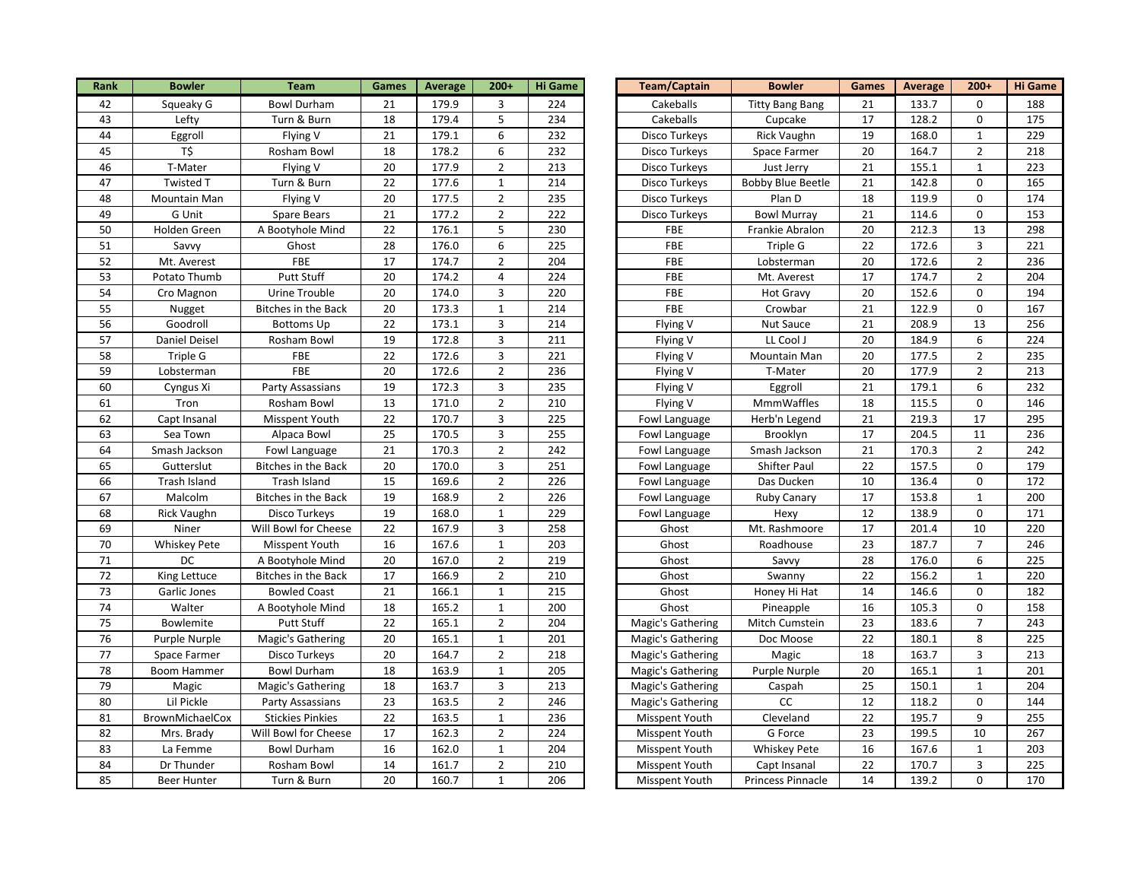| Rank            | <b>Bowler</b>       | <b>Team</b>                | <b>Games</b>    | <b>Average</b> | $200+$                  | <b>Hi Game</b>   | Team/Captain      | <b>Bowler</b>            | Games           | <b>Average</b> | $200+$           | <b>Hi Game</b> |
|-----------------|---------------------|----------------------------|-----------------|----------------|-------------------------|------------------|-------------------|--------------------------|-----------------|----------------|------------------|----------------|
| 42              | Squeaky G           | <b>Bowl Durham</b>         | 21              | 179.9          | 3                       | 224              | Cakeballs         | <b>Titty Bang Bang</b>   | 21              | 133.7          | $\Omega$         | 188            |
| 43              | Lefty               | Turn & Burn                | 18              | 179.4          | 5                       | 234              | Cakeballs         | Cupcake                  | 17              | 128.2          | 0                | 175            |
| 44              | Eggroll             | Flying V                   | 21              | 179.1          | 6                       | 232              | Disco Turkeys     | <b>Rick Vaughn</b>       | 19              | 168.0          | $\mathbf{1}$     | 229            |
| 45              | T\$                 | Rosham Bowl                | 18              | 178.2          | 6                       | 232              | Disco Turkeys     | Space Farmer             | 20              | 164.7          | $\overline{2}$   | 218            |
| 46              | T-Mater             | Flying V                   | 20              | 177.9          | $\overline{2}$          | 213              | Disco Turkeys     | Just Jerry               | 21              | 155.1          | $\mathbf 1$      | 223            |
| 47              | Twisted T           | Turn & Burn                | 22              | 177.6          | $\mathbf{1}$            | 214              | Disco Turkeys     | <b>Bobby Blue Beetle</b> | $21\,$          | 142.8          | $\mathbf 0$      | 165            |
| 48              | Mountain Man        | Flying V                   | 20              | 177.5          | $\overline{2}$          | 235              | Disco Turkeys     | Plan D                   | 18              | 119.9          | $\mathsf 0$      | 174            |
| 49              | G Unit              | Spare Bears                | 21              | 177.2          | $\overline{2}$          | 222              | Disco Turkeys     | <b>Bowl Murray</b>       | 21              | 114.6          | $\mathbf 0$      | 153            |
| 50              | Holden Green        | A Bootyhole Mind           | 22              | 176.1          | 5                       | 230              | FBE               | Frankie Abralon          | 20              | 212.3          | 13               | 298            |
| 51              | Savvy               | Ghost                      | 28              | 176.0          | 6                       | 225              | <b>FBE</b>        | Triple G                 | 22              | 172.6          | $\mathsf 3$      | 221            |
| 52              | Mt. Averest         | <b>FBE</b>                 | 17              | 174.7          | $\overline{2}$          | 204              | FBE               | Lobsterman               | 20              | 172.6          | $\overline{2}$   | 236            |
| 53              | Potato Thumb        | Putt Stuff                 | 20              | 174.2          | $\overline{\mathbf{4}}$ | 224              | FBE               | Mt. Averest              | 17              | 174.7          | $\overline{2}$   | 204            |
| 54              | Cro Magnon          | <b>Urine Trouble</b>       | $\overline{20}$ | 174.0          | 3                       | 220              | FBE               | <b>Hot Gravy</b>         | 20              | 152.6          | 0                | 194            |
| 55              | Nugget              | Bitches in the Back        | 20              | 173.3          | $\mathbf{1}$            | 214              | FBE               | Crowbar                  | 21              | 122.9          | $\pmb{0}$        | 167            |
| 56              | Goodroll            | <b>Bottoms Up</b>          | 22              | 173.1          | 3                       | 214              | Flying V          | Nut Sauce                | 21              | 208.9          | 13               | 256            |
| 57              | Daniel Deisel       | Rosham Bowl                | 19              | 172.8          | $\mathbf{3}$            | 211              | Flying V          | LL Cool J                | 20              | 184.9          | $\boldsymbol{6}$ | 224            |
| 58              | Triple G            | FBE                        | 22              | 172.6          | $\mathbf{3}$            | 221              | Flying V          | Mountain Man             | 20              | 177.5          | $\overline{2}$   | 235            |
| 59              | Lobsterman          | FBE                        | 20              | 172.6          | $\overline{2}$          | 236              | Flying V          | T-Mater                  | 20              | 177.9          | $\overline{2}$   | 213            |
| 60              | Cyngus Xi           | Party Assassians           | 19              | 172.3          | $\mathbf{3}$            | 235              | Flying V          | Eggroll                  | 21              | 179.1          | $\boldsymbol{6}$ | 232            |
| 61              | Tron                | Rosham Bowl                | $\overline{13}$ | 171.0          | $\overline{2}$          | $\overline{210}$ | Flying V          | <b>MmmWaffles</b>        | 18              | 115.5          | $\mathbf 0$      | 146            |
| 62              | Capt Insanal        | Misspent Youth             | 22              | 170.7          | 3                       | 225              | Fowl Language     | Herb'n Legend            | 21              | 219.3          | 17               | 295            |
| 63              | Sea Town            | Alpaca Bowl                | $\overline{25}$ | 170.5          | $\mathbf{3}$            | 255              | Fowl Language     | Brooklyn                 | 17              | 204.5          | 11               | 236            |
| 64              | Smash Jackson       | Fowl Language              | 21              | 170.3          | $\overline{2}$          | 242              | Fowl Language     | Smash Jackson            | $21\,$          | 170.3          | $\overline{2}$   | 242            |
| 65              | Gutterslut          | Bitches in the Back        | 20              | 170.0          | $\mathbf{3}$            | 251              | Fowl Language     | Shifter Paul             | 22              | 157.5          | 0                | 179            |
| 66              | Trash Island        | Trash Island               | 15              | 169.6          | $\overline{2}$          | 226              | Fowl Language     | Das Ducken               | 10              | 136.4          | 0                | 172            |
| 67              | Malcolm             | <b>Bitches in the Back</b> | 19              | 168.9          | $\overline{2}$          | 226              | Fowl Language     | Ruby Canary              | 17              | 153.8          | $\mathbf{1}$     | 200            |
| 68              | Rick Vaughn         | Disco Turkeys              | 19              | 168.0          | $\mathbf{1}$            | 229              | Fowl Language     | Hexy                     | 12              | 138.9          | $\mathsf 0$      | 171            |
| 69              | Niner               | Will Bowl for Cheese       | 22              | 167.9          | 3                       | 258              | Ghost             | Mt. Rashmoore            | 17              | 201.4          | 10               | 220            |
| 70              | <b>Whiskey Pete</b> | <b>Misspent Youth</b>      | 16              | 167.6          | $\mathbf{1}$            | 203              | Ghost             | Roadhouse                | 23              | 187.7          | $\overline{7}$   | 246            |
| 71              | <b>DC</b>           | A Bootyhole Mind           | 20              | 167.0          | $\overline{2}$          | 219              | Ghost             | Savvy                    | 28              | 176.0          | 6                | 225            |
| 72              | King Lettuce        | Bitches in the Back        | 17              | 166.9          | $\overline{2}$          | 210              | Ghost             | Swanny                   | $\overline{22}$ | 156.2          | $\mathbf{1}$     | 220            |
| 73              | Garlic Jones        | <b>Bowled Coast</b>        | 21              | 166.1          | $\mathbf{1}$            | 215              | Ghost             | Honey Hi Hat             | 14              | 146.6          | 0                | 182            |
| $\overline{74}$ | Walter              | A Bootyhole Mind           | 18              | 165.2          | $\mathbf 1$             | 200              | Ghost             | Pineapple                | 16              | 105.3          | 0                | 158            |
| 75              | Bowlemite           | <b>Putt Stuff</b>          | 22              | 165.1          | $\overline{2}$          | 204              | Magic's Gathering | Mitch Cumstein           | 23              | 183.6          | $\overline{7}$   | 243            |
| 76              | Purple Nurple       | Magic's Gathering          | 20              | 165.1          | $\mathbf{1}$            | 201              | Magic's Gathering | Doc Moose                | 22              | 180.1          | 8                | 225            |
| $\overline{77}$ | Space Farmer        | Disco Turkeys              | 20              | 164.7          | $\overline{2}$          | 218              | Magic's Gathering | Magic                    | 18              | 163.7          | $\mathbf{3}$     | 213            |
| 78              | <b>Boom Hammer</b>  | Bowl Durham                | 18              | 163.9          | $\mathbf{1}$            | 205              | Magic's Gathering | Purple Nurple            | 20              | 165.1          | $\mathbf{1}$     | 201            |
| 79              | Magic               | Magic's Gathering          | 18              | 163.7          | 3                       | 213              | Magic's Gathering | Caspah                   | 25              | 150.1          | $\mathbf{1}$     | 204            |
| 80              | Lil Pickle          | Party Assassians           | 23              | 163.5          | $\overline{2}$          | 246              | Magic's Gathering | <b>CC</b>                | 12              | 118.2          | $\mathbf 0$      | 144            |
| 81              | BrownMichaelCox     | <b>Stickies Pinkies</b>    | 22              | 163.5          | $\mathbf 1$             | 236              | Misspent Youth    | Cleveland                | 22              | 195.7          | 9                | 255            |
| 82              | Mrs. Brady          | Will Bowl for Cheese       | $17\,$          | 162.3          | $\overline{2}$          | 224              | Misspent Youth    | G Force                  | 23              | 199.5          | 10               | 267            |
| 83              | La Femme            | <b>Bowl Durham</b>         | 16              | 162.0          | $\mathbf 1$             | 204              | Misspent Youth    | <b>Whiskey Pete</b>      | $\overline{16}$ | 167.6          | $\mathbf{1}$     | 203            |
| 84              | Dr Thunder          | Rosham Bowl                | 14              | 161.7          | $\overline{2}$          | 210              | Misspent Youth    | Capt Insanal             | 22              | 170.7          | $\mathbf{3}$     | 225            |
| 85              | <b>Beer Hunter</b>  | Turn & Burn                | 20              | 160.7          | $\mathbf{1}$            | 206              | Misspent Youth    | Princess Pinnacle        | 14              | 139.2          | $\Omega$         | 170            |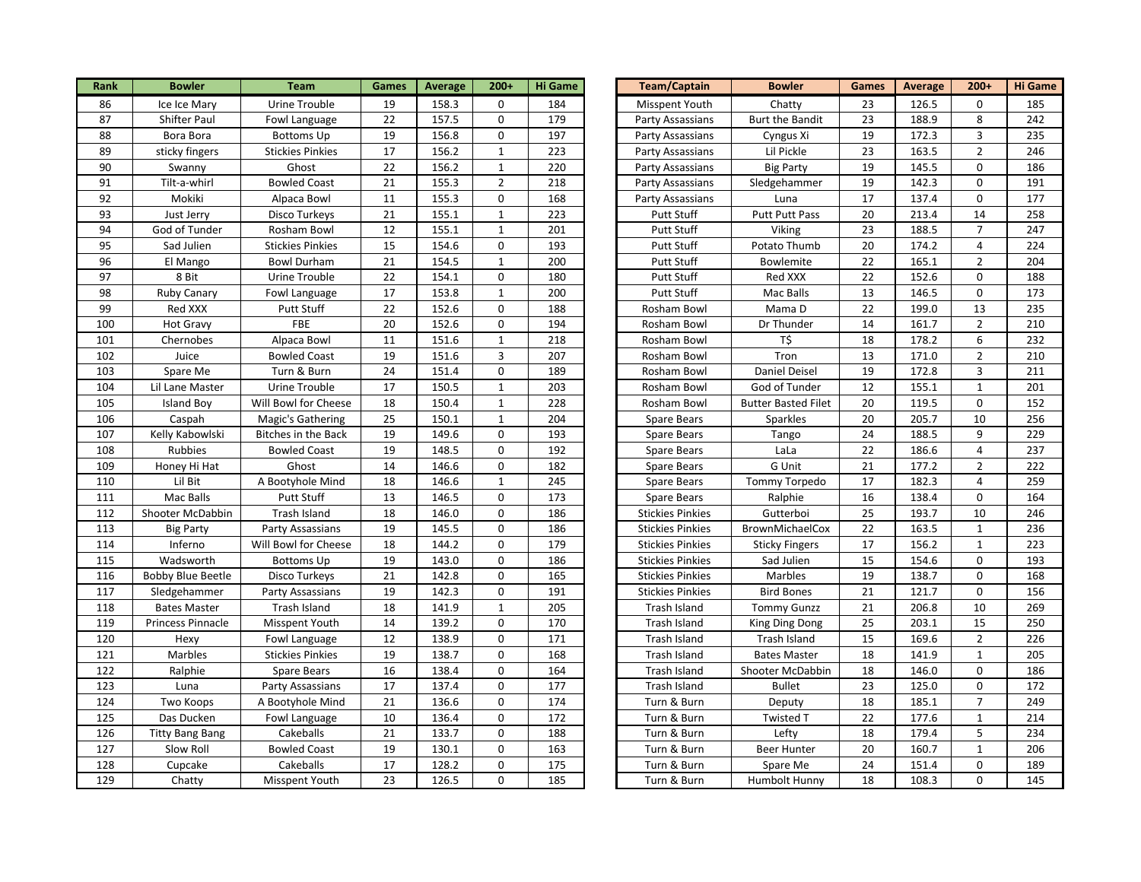| Rank | <b>Bowler</b>            | <b>Team</b>                | Games           | <b>Average</b> | $200+$       | <b>Hi Game</b> | <b>Team/Captain</b>     | <b>Bowler</b>              | Games           | <b>Average</b> | $200+$              | <b>Hi Game</b> |
|------|--------------------------|----------------------------|-----------------|----------------|--------------|----------------|-------------------------|----------------------------|-----------------|----------------|---------------------|----------------|
| 86   | Ice Ice Mary             | Urine Trouble              | 19              | 158.3          | 0            | 184            | Misspent Youth          | Chatty                     | 23              | 126.5          | $\mathbf 0$         | 185            |
| 87   | Shifter Paul             | Fowl Language              | $\overline{22}$ | 157.5          | 0            | 179            | Party Assassians        | Burt the Bandit            | 23              | 188.9          | 8                   | 242            |
| 88   | Bora Bora                | <b>Bottoms Up</b>          | 19              | 156.8          | 0            | 197            | Party Assassians        | Cyngus Xi                  | 19              | 172.3          | $\mathbf{3}$        | 235            |
| 89   | sticky fingers           | <b>Stickies Pinkies</b>    | 17              | 156.2          | $\mathbf{1}$ | 223            | Party Assassians        | Lil Pickle                 | 23              | 163.5          | $\overline{2}$      | 246            |
| 90   | Swanny                   | Ghost                      | 22              | 156.2          | $1\,$        | 220            | Party Assassians        | <b>Big Party</b>           | 19              | 145.5          | $\mathsf 0$         | 186            |
| 91   | Tilt-a-whirl             | <b>Bowled Coast</b>        | 21              | 155.3          | $\mathbf 2$  | 218            | Party Assassians        | Sledgehammer               | 19              | 142.3          | $\mathsf{O}\xspace$ | 191            |
| 92   | Mokiki                   | Alpaca Bowl                | 11              | 155.3          | 0            | 168            | Party Assassians        | Luna                       | 17              | 137.4          | $\mathbf 0$         | 177            |
| 93   | Just Jerry               | Disco Turkeys              | 21              | 155.1          | $\mathbf 1$  | 223            | <b>Putt Stuff</b>       | Putt Putt Pass             | 20              | 213.4          | 14                  | 258            |
| 94   | God of Tunder            | Rosham Bowl                | 12              | 155.1          | $\mathbf{1}$ | 201            | <b>Putt Stuff</b>       | Viking                     | 23              | 188.5          | $\overline{7}$      | 247            |
| 95   | Sad Julien               | <b>Stickies Pinkies</b>    | 15              | 154.6          | 0            | 193            | <b>Putt Stuff</b>       | Potato Thumb               | 20              | 174.2          | $\overline{4}$      | 224            |
| 96   | El Mango                 | <b>Bowl Durham</b>         | 21              | 154.5          | $\mathbf{1}$ | 200            | <b>Putt Stuff</b>       | Bowlemite                  | 22              | 165.1          | $\overline{2}$      | 204            |
| 97   | 8 Bit                    | Urine Trouble              | $\overline{22}$ | 154.1          | 0            | 180            | Putt Stuff              | Red XXX                    | 22              | 152.6          | $\mathsf 0$         | 188            |
| 98   | Ruby Canary              | Fowl Language              | 17              | 153.8          | $\mathbf 1$  | 200            | Putt Stuff              | Mac Balls                  | 13              | 146.5          | $\mathsf{O}\xspace$ | 173            |
| 99   | Red XXX                  | <b>Putt Stuff</b>          | 22              | 152.6          | 0            | 188            | Rosham Bowl             | Mama D                     | $\overline{22}$ | 199.0          | 13                  | 235            |
| 100  | <b>Hot Gravy</b>         | FBE                        | 20              | 152.6          | 0            | 194            | Rosham Bowl             | Dr Thunder                 | 14              | 161.7          | $\overline{2}$      | 210            |
| 101  | Chernobes                | Alpaca Bowl                | $\overline{11}$ | 151.6          | $\mathbf{1}$ | 218            | Rosham Bowl             | T\$                        | $\overline{18}$ | 178.2          | 6                   | 232            |
| 102  | Juice                    | <b>Bowled Coast</b>        | 19              | 151.6          | 3            | 207            | Rosham Bowl             | Tron                       | 13              | 171.0          | $\overline{2}$      | 210            |
| 103  | Spare Me                 | Turn & Burn                | 24              | 151.4          | 0            | 189            | Rosham Bowl             | Daniel Deisel              | 19              | 172.8          | $\overline{3}$      | 211            |
| 104  | Lil Lane Master          | Urine Trouble              | $\overline{17}$ | 150.5          | $\mathbf 1$  | 203            | Rosham Bowl             | God of Tunder              | $\overline{12}$ | 155.1          | $\mathbf 1$         | 201            |
| 105  | <b>Island Boy</b>        | Will Bowl for Cheese       | 18              | 150.4          | $\mathbf 1$  | 228            | Rosham Bowl             | <b>Butter Basted Filet</b> | 20              | 119.5          | $\mathbf 0$         | 152            |
| 106  | Caspah                   | Magic's Gathering          | 25              | 150.1          | $\mathbf{1}$ | 204            | Spare Bears             | Sparkles                   | 20              | 205.7          | 10                  | 256            |
| 107  | Kelly Kabowlski          | <b>Bitches in the Back</b> | 19              | 149.6          | 0            | 193            | Spare Bears             | Tango                      | 24              | 188.5          | 9                   | 229            |
| 108  | <b>Rubbies</b>           | <b>Bowled Coast</b>        | 19              | 148.5          | 0            | 192            | Spare Bears             | LaLa                       | $\overline{22}$ | 186.6          | $\overline{4}$      | 237            |
| 109  | Honey Hi Hat             | Ghost                      | 14              | 146.6          | 0            | 182            | Spare Bears             | G Unit                     | 21              | 177.2          | $\overline{2}$      | 222            |
| 110  | Lil Bit                  | A Bootyhole Mind           | 18              | 146.6          | $1\,$        | 245            | Spare Bears             | Tommy Torpedo              | 17              | 182.3          | $\overline{4}$      | 259            |
| 111  | Mac Balls                | Putt Stuff                 | 13              | 146.5          | 0            | 173            | Spare Bears             | Ralphie                    | 16              | 138.4          | $\mathsf 0$         | 164            |
| 112  | Shooter McDabbin         | Trash Island               | 18              | 146.0          | 0            | 186            | <b>Stickies Pinkies</b> | Gutterboi                  | 25              | 193.7          | 10                  | 246            |
| 113  | <b>Big Party</b>         | Party Assassians           | 19              | 145.5          | 0            | 186            | <b>Stickies Pinkies</b> | BrownMichaelCox            | $\overline{22}$ | 163.5          | $\mathbf{1}$        | 236            |
| 114  | Inferno                  | Will Bowl for Cheese       | 18              | 144.2          | 0            | 179            | <b>Stickies Pinkies</b> | <b>Sticky Fingers</b>      | 17              | 156.2          | $\mathbf 1$         | 223            |
| 115  | Wadsworth                | <b>Bottoms Up</b>          | 19              | 143.0          | 0            | 186            | <b>Stickies Pinkies</b> | Sad Julien                 | $\overline{15}$ | 154.6          | $\mathbf 0$         | 193            |
| 116  | <b>Bobby Blue Beetle</b> | Disco Turkeys              | 21              | 142.8          | 0            | 165            | <b>Stickies Pinkies</b> | Marbles                    | 19              | 138.7          | $\mathsf 0$         | 168            |
| 117  | Sledgehammer             | Party Assassians           | 19              | 142.3          | 0            | 191            | <b>Stickies Pinkies</b> | <b>Bird Bones</b>          | 21              | 121.7          | $\mathsf 0$         | 156            |
| 118  | <b>Bates Master</b>      | Trash Island               | $\overline{18}$ | 141.9          | $\mathbf 1$  | 205            | Trash Island            | <b>Tommy Gunzz</b>         | $\overline{21}$ | 206.8          | 10                  | 269            |
| 119  | Princess Pinnacle        | Misspent Youth             | 14              | 139.2          | 0            | 170            | Trash Island            | King Ding Dong             | 25              | 203.1          | 15                  | 250            |
| 120  | Hexy                     | Fowl Language              | 12              | 138.9          | 0            | 171            | Trash Island            | Trash Island               | 15              | 169.6          | $\overline{2}$      | 226            |
| 121  | Marbles                  | <b>Stickies Pinkies</b>    | 19              | 138.7          | 0            | 168            | Trash Island            | <b>Bates Master</b>        | $\overline{18}$ | 141.9          | $\mathbf 1$         | 205            |
| 122  | Ralphie                  | Spare Bears                | 16              | 138.4          | 0            | 164            | Trash Island            | Shooter McDabbin           | $\overline{18}$ | 146.0          | $\mathsf 0$         | 186            |
| 123  | Luna                     | Party Assassians           | 17              | 137.4          | 0            | 177            | Trash Island            | <b>Bullet</b>              | 23              | 125.0          | $\mathsf{O}\xspace$ | 172            |
| 124  | Two Koops                | A Bootyhole Mind           | 21              | 136.6          | 0            | 174            | Turn & Burn             | Deputy                     | 18              | 185.1          | $\overline{7}$      | 249            |
| 125  | Das Ducken               | Fowl Language              | 10              | 136.4          | 0            | 172            | Turn & Burn             | <b>Twisted T</b>           | 22              | 177.6          | $\mathbf 1$         | 214            |
| 126  | <b>Titty Bang Bang</b>   | Cakeballs                  | 21              | 133.7          | 0            | 188            | Turn & Burn             | Lefty                      | 18              | 179.4          | 5                   | 234            |
| 127  | Slow Roll                | <b>Bowled Coast</b>        | 19              | 130.1          | 0            | 163            | Turn & Burn             | <b>Beer Hunter</b>         | $\overline{20}$ | 160.7          | $\mathbf{1}$        | 206            |
| 128  | Cupcake                  | Cakeballs                  | $\overline{17}$ | 128.2          | 0            | 175            | Turn & Burn             | Spare Me                   | $\overline{24}$ | 151.4          | $\mathsf 0$         | 189            |
| 129  | Chatty                   | Misspent Youth             | 23              | 126.5          | $\mathbf 0$  | 185            | Turn & Burn             | Humbolt Hunny              | 18              | 108.3          | $\Omega$            | 145            |